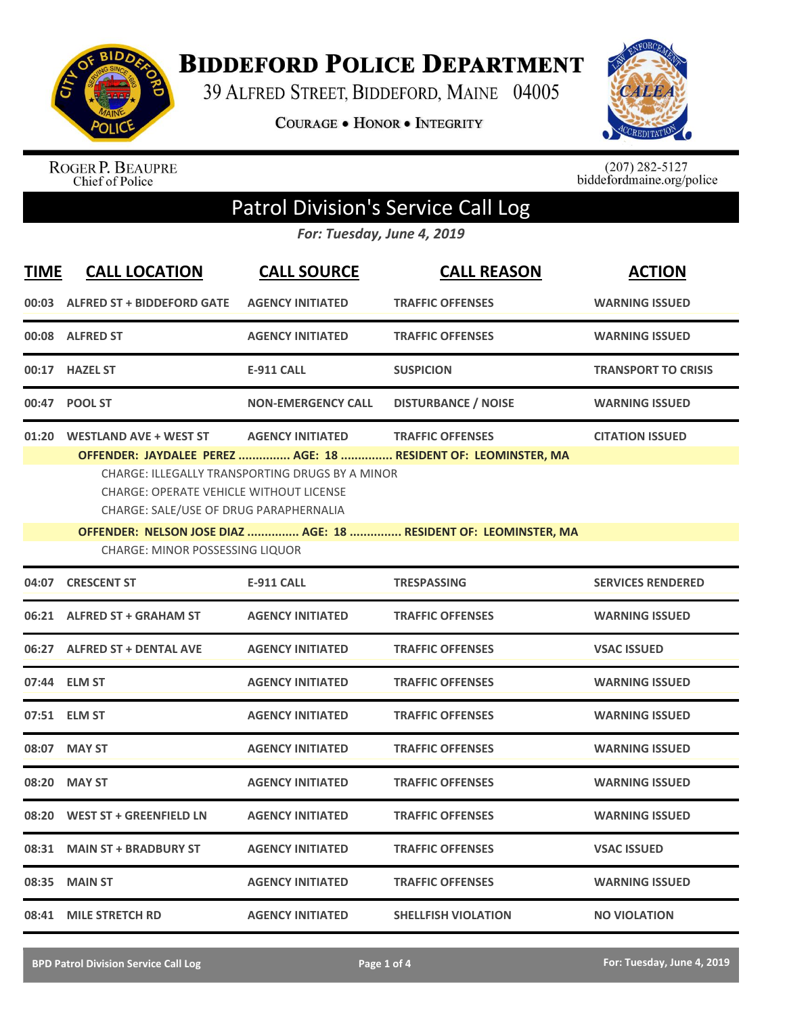

**BIDDEFORD POLICE DEPARTMENT** 

39 ALFRED STREET, BIDDEFORD, MAINE 04005

**COURAGE . HONOR . INTEGRITY** 



ROGER P. BEAUPRE<br>Chief of Police

 $(207)$  282-5127<br>biddefordmaine.org/police

## Patrol Division's Service Call Log

*For: Tuesday, June 4, 2019*

| <b>TIME</b> | <b>CALL LOCATION</b>                                                                                                      | <b>CALL SOURCE</b>                                                         | <b>CALL REASON</b>                                                                        | <b>ACTION</b>              |  |
|-------------|---------------------------------------------------------------------------------------------------------------------------|----------------------------------------------------------------------------|-------------------------------------------------------------------------------------------|----------------------------|--|
| 00:03       | <b>ALFRED ST + BIDDEFORD GATE</b>                                                                                         | <b>AGENCY INITIATED</b>                                                    | <b>TRAFFIC OFFENSES</b>                                                                   | <b>WARNING ISSUED</b>      |  |
| 00:08       | <b>ALFRED ST</b>                                                                                                          | <b>AGENCY INITIATED</b>                                                    | <b>TRAFFIC OFFENSES</b>                                                                   | <b>WARNING ISSUED</b>      |  |
| 00:17       | <b>HAZEL ST</b>                                                                                                           | <b>E-911 CALL</b>                                                          | <b>SUSPICION</b>                                                                          | <b>TRANSPORT TO CRISIS</b> |  |
| 00:47       | <b>POOL ST</b>                                                                                                            | <b>NON-EMERGENCY CALL</b>                                                  | <b>DISTURBANCE / NOISE</b>                                                                | <b>WARNING ISSUED</b>      |  |
| 01:20       | <b>WESTLAND AVE + WEST ST</b><br><b>CHARGE: OPERATE VEHICLE WITHOUT LICENSE</b><br>CHARGE: SALE/USE OF DRUG PARAPHERNALIA | <b>AGENCY INITIATED</b><br>CHARGE: ILLEGALLY TRANSPORTING DRUGS BY A MINOR | <b>TRAFFIC OFFENSES</b><br>OFFENDER: JAYDALEE PEREZ  AGE: 18  RESIDENT OF: LEOMINSTER, MA | <b>CITATION ISSUED</b>     |  |
|             | OFFENDER: NELSON JOSE DIAZ  AGE: 18  RESIDENT OF: LEOMINSTER, MA<br>CHARGE: MINOR POSSESSING LIQUOR                       |                                                                            |                                                                                           |                            |  |
| 04:07       | <b>CRESCENT ST</b>                                                                                                        | <b>E-911 CALL</b>                                                          | <b>TRESPASSING</b>                                                                        | <b>SERVICES RENDERED</b>   |  |
| 06:21       | <b>ALFRED ST + GRAHAM ST</b>                                                                                              | <b>AGENCY INITIATED</b>                                                    | <b>TRAFFIC OFFENSES</b>                                                                   | <b>WARNING ISSUED</b>      |  |
|             | 06:27 ALFRED ST + DENTAL AVE                                                                                              | <b>AGENCY INITIATED</b>                                                    | <b>TRAFFIC OFFENSES</b>                                                                   | <b>VSAC ISSUED</b>         |  |
|             | 07:44 ELM ST                                                                                                              | <b>AGENCY INITIATED</b>                                                    | <b>TRAFFIC OFFENSES</b>                                                                   | <b>WARNING ISSUED</b>      |  |
|             | 07:51 ELM ST                                                                                                              | <b>AGENCY INITIATED</b>                                                    | <b>TRAFFIC OFFENSES</b>                                                                   | <b>WARNING ISSUED</b>      |  |
|             | 08:07 MAY ST                                                                                                              | <b>AGENCY INITIATED</b>                                                    | <b>TRAFFIC OFFENSES</b>                                                                   | <b>WARNING ISSUED</b>      |  |
| 08:20       | <b>MAY ST</b>                                                                                                             | <b>AGENCY INITIATED</b>                                                    | <b>TRAFFIC OFFENSES</b>                                                                   | <b>WARNING ISSUED</b>      |  |
| 08:20       | <b>WEST ST + GREENFIELD LN</b>                                                                                            | <b>AGENCY INITIATED</b>                                                    | <b>TRAFFIC OFFENSES</b>                                                                   | <b>WARNING ISSUED</b>      |  |
| 08:31       | <b>MAIN ST + BRADBURY ST</b>                                                                                              | <b>AGENCY INITIATED</b>                                                    | <b>TRAFFIC OFFENSES</b>                                                                   | <b>VSAC ISSUED</b>         |  |
| 08:35       | <b>MAIN ST</b>                                                                                                            | <b>AGENCY INITIATED</b>                                                    | <b>TRAFFIC OFFENSES</b>                                                                   | <b>WARNING ISSUED</b>      |  |
|             | 08:41 MILE STRETCH RD                                                                                                     | <b>AGENCY INITIATED</b>                                                    | <b>SHELLFISH VIOLATION</b>                                                                | <b>NO VIOLATION</b>        |  |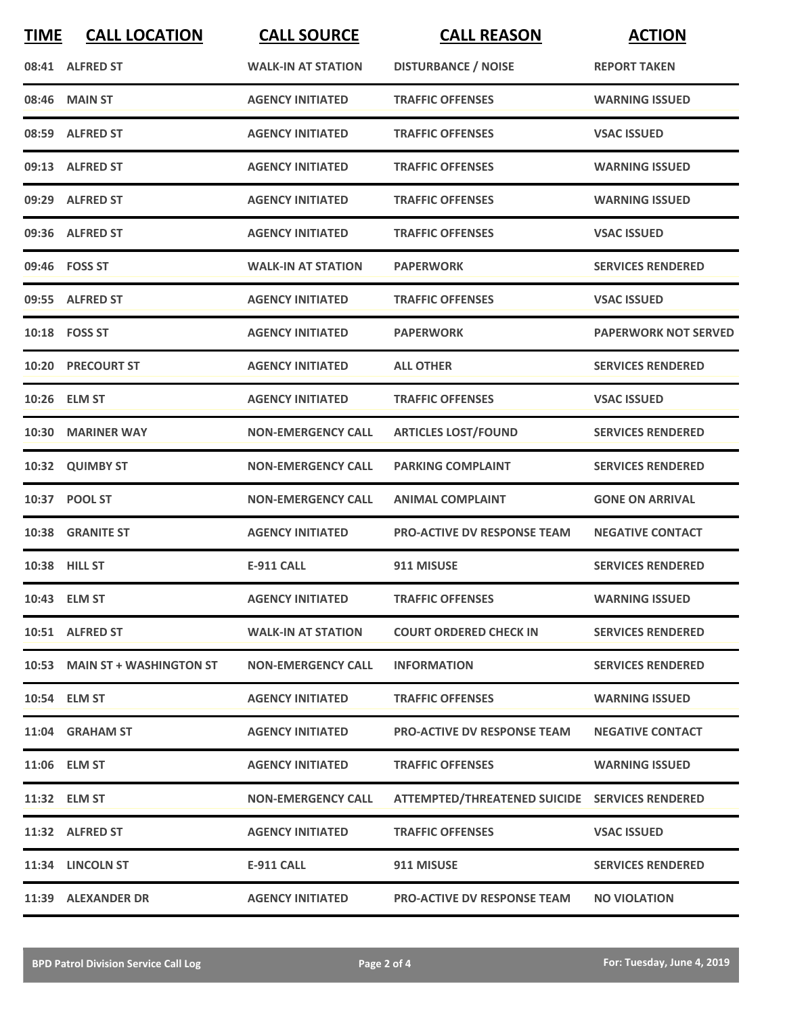| <b>TIME</b> | <b>CALL LOCATION</b>          | <b>CALL SOURCE</b>        | <b>CALL REASON</b>                             | <b>ACTION</b>               |
|-------------|-------------------------------|---------------------------|------------------------------------------------|-----------------------------|
|             | 08:41 ALFRED ST               | <b>WALK-IN AT STATION</b> | <b>DISTURBANCE / NOISE</b>                     | <b>REPORT TAKEN</b>         |
| 08:46       | <b>MAIN ST</b>                | <b>AGENCY INITIATED</b>   | <b>TRAFFIC OFFENSES</b>                        | <b>WARNING ISSUED</b>       |
|             | 08:59 ALFRED ST               | <b>AGENCY INITIATED</b>   | <b>TRAFFIC OFFENSES</b>                        | <b>VSAC ISSUED</b>          |
|             | 09:13 ALFRED ST               | <b>AGENCY INITIATED</b>   | <b>TRAFFIC OFFENSES</b>                        | <b>WARNING ISSUED</b>       |
|             | 09:29 ALFRED ST               | <b>AGENCY INITIATED</b>   | <b>TRAFFIC OFFENSES</b>                        | <b>WARNING ISSUED</b>       |
|             | 09:36 ALFRED ST               | <b>AGENCY INITIATED</b>   | <b>TRAFFIC OFFENSES</b>                        | <b>VSAC ISSUED</b>          |
|             | 09:46 FOSS ST                 | <b>WALK-IN AT STATION</b> | <b>PAPERWORK</b>                               | <b>SERVICES RENDERED</b>    |
|             | 09:55 ALFRED ST               | <b>AGENCY INITIATED</b>   | <b>TRAFFIC OFFENSES</b>                        | <b>VSAC ISSUED</b>          |
|             | 10:18 FOSS ST                 | <b>AGENCY INITIATED</b>   | <b>PAPERWORK</b>                               | <b>PAPERWORK NOT SERVED</b> |
|             | <b>10:20 PRECOURT ST</b>      | <b>AGENCY INITIATED</b>   | <b>ALL OTHER</b>                               | <b>SERVICES RENDERED</b>    |
|             | 10:26 ELM ST                  | <b>AGENCY INITIATED</b>   | <b>TRAFFIC OFFENSES</b>                        | <b>VSAC ISSUED</b>          |
| 10:30       | <b>MARINER WAY</b>            | <b>NON-EMERGENCY CALL</b> | <b>ARTICLES LOST/FOUND</b>                     | <b>SERVICES RENDERED</b>    |
|             | 10:32 QUIMBY ST               | <b>NON-EMERGENCY CALL</b> | <b>PARKING COMPLAINT</b>                       | <b>SERVICES RENDERED</b>    |
|             | 10:37 POOL ST                 | <b>NON-EMERGENCY CALL</b> | <b>ANIMAL COMPLAINT</b>                        | <b>GONE ON ARRIVAL</b>      |
|             | 10:38 GRANITE ST              | <b>AGENCY INITIATED</b>   | <b>PRO-ACTIVE DV RESPONSE TEAM</b>             | <b>NEGATIVE CONTACT</b>     |
|             | 10:38 HILL ST                 | <b>E-911 CALL</b>         | 911 MISUSE                                     | <b>SERVICES RENDERED</b>    |
|             | 10:43 ELM ST                  | <b>AGENCY INITIATED</b>   | <b>TRAFFIC OFFENSES</b>                        | <b>WARNING ISSUED</b>       |
|             | 10:51 ALFRED ST               | <b>WALK-IN AT STATION</b> | <b>COURT ORDERED CHECK IN</b>                  | <b>SERVICES RENDERED</b>    |
|             | 10:53 MAIN ST + WASHINGTON ST | <b>NON-EMERGENCY CALL</b> | <b>INFORMATION</b>                             | <b>SERVICES RENDERED</b>    |
|             | 10:54 ELM ST                  | <b>AGENCY INITIATED</b>   | <b>TRAFFIC OFFENSES</b>                        | <b>WARNING ISSUED</b>       |
|             | 11:04 GRAHAM ST               | <b>AGENCY INITIATED</b>   | <b>PRO-ACTIVE DV RESPONSE TEAM</b>             | <b>NEGATIVE CONTACT</b>     |
|             | 11:06 ELM ST                  | <b>AGENCY INITIATED</b>   | <b>TRAFFIC OFFENSES</b>                        | <b>WARNING ISSUED</b>       |
|             | 11:32 ELM ST                  | <b>NON-EMERGENCY CALL</b> | ATTEMPTED/THREATENED SUICIDE SERVICES RENDERED |                             |
|             | 11:32 ALFRED ST               | <b>AGENCY INITIATED</b>   | <b>TRAFFIC OFFENSES</b>                        | <b>VSAC ISSUED</b>          |
|             | 11:34 LINCOLN ST              | E-911 CALL                | 911 MISUSE                                     | <b>SERVICES RENDERED</b>    |
|             | 11:39 ALEXANDER DR            | <b>AGENCY INITIATED</b>   | <b>PRO-ACTIVE DV RESPONSE TEAM</b>             | <b>NO VIOLATION</b>         |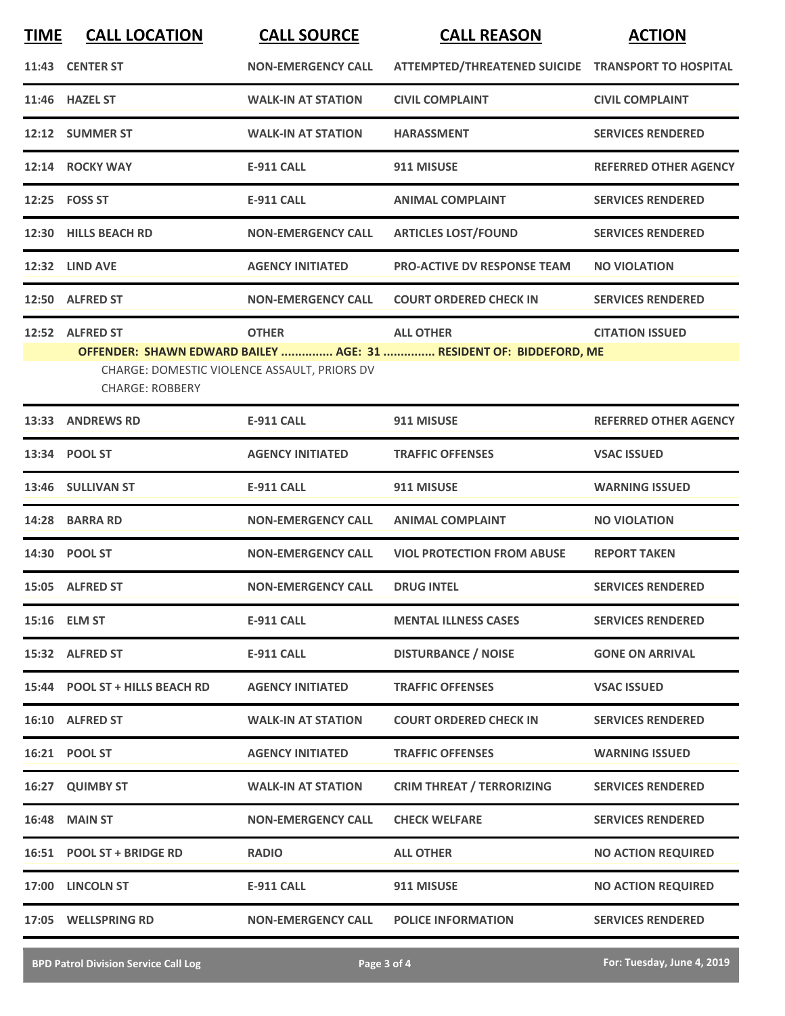| <b>TIME</b> | <b>CALL LOCATION</b>                                                   | <b>CALL SOURCE</b>        | <b>CALL REASON</b>                                                 | <b>ACTION</b>                |
|-------------|------------------------------------------------------------------------|---------------------------|--------------------------------------------------------------------|------------------------------|
|             | 11:43 CENTER ST                                                        | <b>NON-EMERGENCY CALL</b> | ATTEMPTED/THREATENED SUICIDE TRANSPORT TO HOSPITAL                 |                              |
|             | 11:46 HAZEL ST                                                         | <b>WALK-IN AT STATION</b> | <b>CIVIL COMPLAINT</b>                                             | <b>CIVIL COMPLAINT</b>       |
|             | 12:12 SUMMER ST                                                        | <b>WALK-IN AT STATION</b> | <b>HARASSMENT</b>                                                  | <b>SERVICES RENDERED</b>     |
|             | 12:14 ROCKY WAY                                                        | <b>E-911 CALL</b>         | 911 MISUSE                                                         | <b>REFERRED OTHER AGENCY</b> |
|             | 12:25    FOSS ST                                                       | <b>E-911 CALL</b>         | <b>ANIMAL COMPLAINT</b>                                            | <b>SERVICES RENDERED</b>     |
|             | 12:30 HILLS BEACH RD                                                   | <b>NON-EMERGENCY CALL</b> | <b>ARTICLES LOST/FOUND</b>                                         | <b>SERVICES RENDERED</b>     |
|             | 12:32 LIND AVE                                                         | <b>AGENCY INITIATED</b>   | <b>PRO-ACTIVE DV RESPONSE TEAM</b>                                 | <b>NO VIOLATION</b>          |
|             | 12:50 ALFRED ST                                                        | <b>NON-EMERGENCY CALL</b> | <b>COURT ORDERED CHECK IN</b>                                      | <b>SERVICES RENDERED</b>     |
|             | 12:52 ALFRED ST                                                        | <b>OTHER</b>              | <b>ALL OTHER</b>                                                   | <b>CITATION ISSUED</b>       |
|             | CHARGE: DOMESTIC VIOLENCE ASSAULT, PRIORS DV<br><b>CHARGE: ROBBERY</b> |                           | OFFENDER: SHAWN EDWARD BAILEY  AGE: 31  RESIDENT OF: BIDDEFORD, ME |                              |
|             | 13:33 ANDREWS RD                                                       | <b>E-911 CALL</b>         | 911 MISUSE                                                         | <b>REFERRED OTHER AGENCY</b> |
| 13:34       | <b>POOL ST</b>                                                         | <b>AGENCY INITIATED</b>   | <b>TRAFFIC OFFENSES</b>                                            | <b>VSAC ISSUED</b>           |
| 13:46       | <b>SULLIVAN ST</b>                                                     | <b>E-911 CALL</b>         | 911 MISUSE                                                         | <b>WARNING ISSUED</b>        |
| 14:28       | <b>BARRA RD</b>                                                        | <b>NON-EMERGENCY CALL</b> | <b>ANIMAL COMPLAINT</b>                                            | <b>NO VIOLATION</b>          |
|             | 14:30 POOL ST                                                          | <b>NON-EMERGENCY CALL</b> | <b>VIOL PROTECTION FROM ABUSE</b>                                  | <b>REPORT TAKEN</b>          |
|             | 15:05 ALFRED ST                                                        | <b>NON-EMERGENCY CALL</b> | <b>DRUG INTEL</b>                                                  | <b>SERVICES RENDERED</b>     |
|             | 15:16 ELM ST                                                           | <b>E-911 CALL</b>         | <b>MENTAL ILLNESS CASES</b>                                        | <b>SERVICES RENDERED</b>     |
|             | 15:32 ALFRED ST                                                        | <b>E-911 CALL</b>         | <b>DISTURBANCE / NOISE</b>                                         | <b>GONE ON ARRIVAL</b>       |
|             | 15:44 POOL ST + HILLS BEACH RD                                         | <b>AGENCY INITIATED</b>   | <b>TRAFFIC OFFENSES</b>                                            | <b>VSAC ISSUED</b>           |
|             | 16:10 ALFRED ST                                                        | <b>WALK-IN AT STATION</b> | <b>COURT ORDERED CHECK IN</b>                                      | <b>SERVICES RENDERED</b>     |
|             | 16:21 POOL ST                                                          | <b>AGENCY INITIATED</b>   | <b>TRAFFIC OFFENSES</b>                                            | <b>WARNING ISSUED</b>        |
|             | 16:27 QUIMBY ST                                                        | <b>WALK-IN AT STATION</b> | <b>CRIM THREAT / TERRORIZING</b>                                   | <b>SERVICES RENDERED</b>     |
|             | <b>16:48 MAIN ST</b>                                                   | <b>NON-EMERGENCY CALL</b> | <b>CHECK WELFARE</b>                                               | <b>SERVICES RENDERED</b>     |
|             | 16:51 POOL ST + BRIDGE RD                                              | <b>RADIO</b>              | <b>ALL OTHER</b>                                                   | <b>NO ACTION REQUIRED</b>    |
|             | 17:00 LINCOLN ST                                                       | <b>E-911 CALL</b>         | 911 MISUSE                                                         | <b>NO ACTION REQUIRED</b>    |
|             | 17:05 WELLSPRING RD                                                    | <b>NON-EMERGENCY CALL</b> | <b>POLICE INFORMATION</b>                                          | <b>SERVICES RENDERED</b>     |